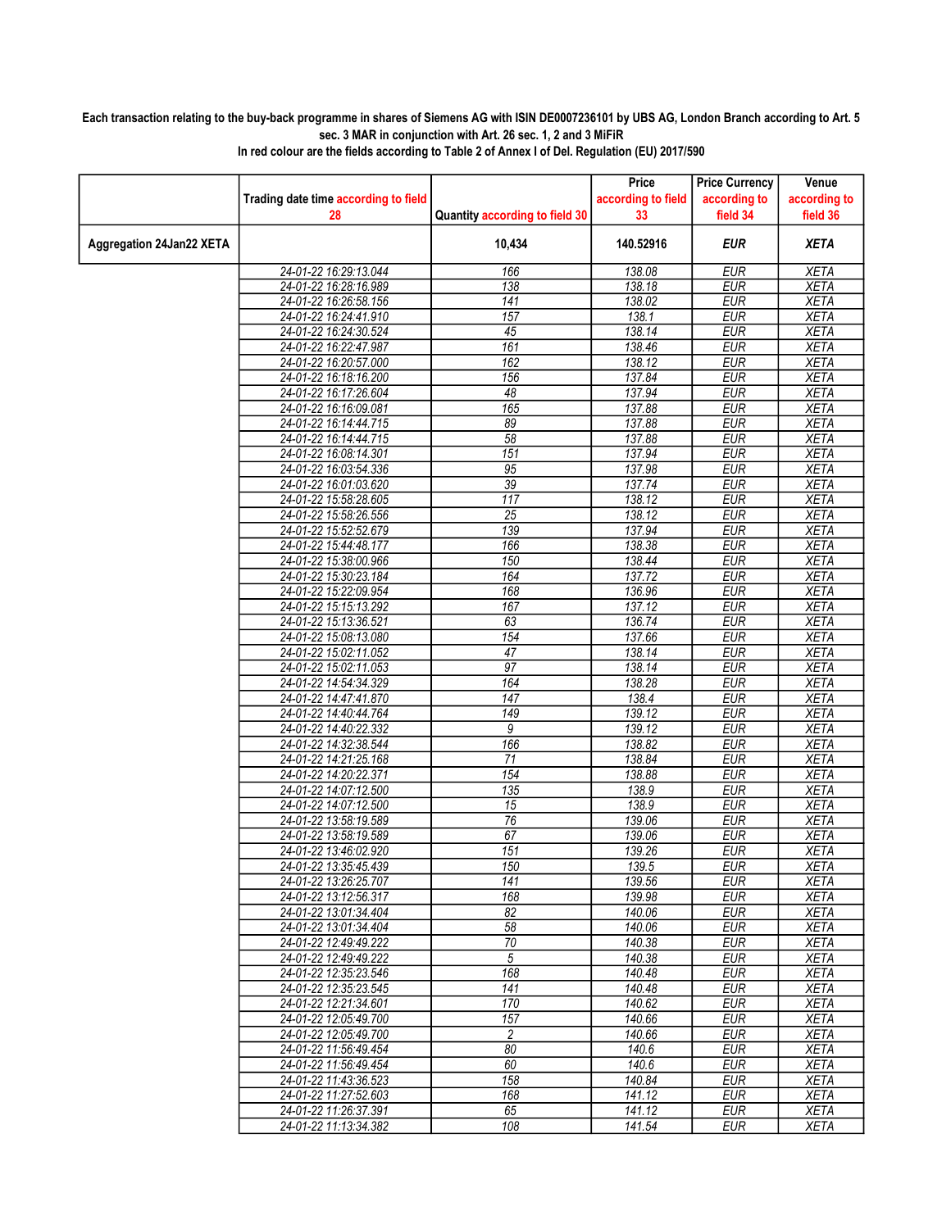## Each transaction relating to the buy-back programme in shares of Siemens AG with ISIN DE0007236101 by UBS AG, London Branch according to Art. 5 sec. 3 MAR in conjunction with Art. 26 sec. 1, 2 and 3 MiFiR

|                          |                                                |                                | Price              | <b>Price Currency</b>    | Venue                      |
|--------------------------|------------------------------------------------|--------------------------------|--------------------|--------------------------|----------------------------|
|                          | Trading date time according to field           |                                | according to field | according to             | according to               |
|                          | 28                                             | Quantity according to field 30 | 33                 | field 34                 | field 36                   |
| Aggregation 24Jan22 XETA |                                                | 10,434                         | 140.52916          | <b>EUR</b>               | <b>XETA</b>                |
|                          | 24-01-22 16:29:13.044                          | 166                            | 138.08             | <b>EUR</b>               | <b>XETA</b>                |
|                          | 24-01-22 16:28:16.989                          | 138                            | 138.18             | <b>EUR</b>               | <b>XETA</b>                |
|                          | 24-01-22 16:26:58.156                          | 141                            | 138.02             | <b>EUR</b>               | <b>XETA</b>                |
|                          | 24-01-22 16:24:41.910                          | 157                            | 138.1              | <b>EUR</b>               | <b>XETA</b>                |
|                          | 24-01-22 16:24:30.524                          | 45                             | 138.14             | <b>EUR</b>               | <b>XETA</b>                |
|                          | 24-01-22 16:22:47.987                          | 161                            | 138.46             | <b>EUR</b>               | <b>XETA</b>                |
|                          | 24-01-22 16:20:57.000                          | 162                            | 138.12             | <b>EUR</b>               | <b>XETA</b>                |
|                          | 24-01-22 16:18:16.200                          | 156                            | 137.84             | <b>EUR</b>               | <b>XETA</b>                |
|                          | 24-01-22 16:17:26.604                          | 48                             | 137.94             | <b>EUR</b>               | <b>XETA</b>                |
|                          | 24-01-22 16:16:09.081                          | 165                            | 137.88             | <b>EUR</b>               | <b>XETA</b>                |
|                          | 24-01-22 16:14:44.715                          | 89                             | 137.88             | <b>EUR</b>               | <b>XETA</b>                |
|                          | 24-01-22 16:14:44.715                          | 58                             | 137.88             | <b>EUR</b>               | <b>XETA</b>                |
|                          | 24-01-22 16:08:14.301                          | 151                            | 137.94             | <b>EUR</b>               | <b>XETA</b>                |
|                          | 24-01-22 16:03:54.336                          | 95                             | 137.98             | <b>EUR</b>               | <b>XETA</b>                |
|                          | 24-01-22 16:01:03.620                          | 39                             | 137.74             | <b>EUR</b>               | <b>XETA</b>                |
|                          | 24-01-22 15:58:28.605<br>24-01-22 15:58:26.556 | 117<br>25                      | 138.12<br>138.12   | <b>EUR</b><br><b>EUR</b> | <b>XETA</b><br><b>XETA</b> |
|                          | 24-01-22 15:52:52.679                          | 139                            | 137.94             | <b>EUR</b>               | <b>XETA</b>                |
|                          |                                                | 166                            |                    | <b>EUR</b>               | <b>XETA</b>                |
|                          | 24-01-22 15:44:48.177<br>24-01-22 15:38:00.966 | 150                            | 138.38<br>138.44   | <b>EUR</b>               | <b>XETA</b>                |
|                          | 24-01-22 15:30:23.184                          | 164                            | 137.72             | <b>EUR</b>               | <b>XETA</b>                |
|                          | 24-01-22 15:22:09.954                          | 168                            | 136.96             | <b>EUR</b>               | <b>XETA</b>                |
|                          | 24-01-22 15:15:13.292                          | 167                            | 137.12             | <b>EUR</b>               | <b>XETA</b>                |
|                          | 24-01-22 15:13:36.521                          | 63                             | 136.74             | <b>EUR</b>               | <b>XETA</b>                |
|                          | 24-01-22 15:08:13.080                          | 154                            | 137.66             | <b>EUR</b>               | <b>XETA</b>                |
|                          | 24-01-22 15:02:11.052                          | 47                             | 138.14             | <b>EUR</b>               | <b>XETA</b>                |
|                          | 24-01-22 15:02:11.053                          | 97                             | 138.14             | <b>EUR</b>               | <b>XETA</b>                |
|                          | 24-01-22 14:54:34.329                          | 164                            | 138.28             | <b>EUR</b>               | <b>XETA</b>                |
|                          | 24-01-22 14:47:41.870                          | 147                            | 138.4              | <b>EUR</b>               | <b>XETA</b>                |
|                          | 24-01-22 14:40:44.764                          | 149                            | 139.12             | <b>EUR</b>               | <b>XETA</b>                |
|                          | 24-01-22 14:40:22 332                          | 9                              | 139.12             | <b>EUR</b>               | <b>XETA</b>                |
|                          | 24-01-22 14:32:38.544                          | 166                            | 138.82             | <b>EUR</b>               | <b>XETA</b>                |
|                          | 24-01-22 14:21:25.168                          | 71                             | 138.84             | <b>EUR</b>               | <b>XETA</b>                |
|                          | 24-01-22 14:20:22.371                          | 154                            | 138.88             | <b>EUR</b>               | <b>XETA</b>                |
|                          | 24-01-22 14:07:12.500                          | 135                            | 138.9              | <b>EUR</b>               | <b>XETA</b>                |
|                          | 24-01-22 14:07:12.500                          | 15                             | 138.9              | <b>EUR</b>               | <b>XETA</b>                |
|                          | 24-01-22 13:58:19.589                          | 76                             | 139.06             | <b>EUR</b>               | <b>XETA</b>                |
|                          | 24-01-22 13:58:19.589                          | 67                             | 139.06             | <b>EUR</b>               | <b>XETA</b>                |
|                          | 24-01-22 13:46:02.920                          | 151                            | 139.26             | <b>EUR</b>               | <b>XETA</b>                |
|                          | 24-01-22 13:35:45.439                          | 150                            | 139.5              | <b>EUR</b>               | <b>XETA</b>                |
|                          | 24-01-22 13:26:25.707                          | 141                            | 139.56             | EUR                      | XETA                       |
|                          | 24-01-22 13:12:56.317                          | 168                            | 139.98             | <b>EUR</b>               | <b>XETA</b>                |
|                          | 24-01-22 13:01:34.404                          | 82                             | 140.06             | <b>EUR</b>               | <b>XETA</b>                |
|                          | 24-01-22 13:01:34.404                          | 58                             | 140.06             | <b>EUR</b>               | <b>XETA</b>                |
|                          | 24-01-22 12:49:49.222                          | 70                             | 140.38             | <b>EUR</b>               | <b>XETA</b>                |
|                          | 24-01-22 12:49:49.222                          | 5                              | 140.38             | <b>EUR</b>               | <b>XETA</b>                |
|                          | 24-01-22 12:35:23.546                          | 168                            | 140.48             | <b>EUR</b>               | <b>XETA</b>                |
|                          | 24-01-22 12:35:23.545                          | 141                            | 140.48             | <b>EUR</b>               | <b>XETA</b>                |
|                          | 24-01-22 12:21:34.601                          | 170                            | 140.62             | <b>EUR</b>               | <b>XETA</b>                |
|                          | 24-01-22 12:05:49.700                          | 157                            | 140.66             | <b>EUR</b>               | <b>XETA</b>                |
|                          | 24-01-22 12:05:49.700<br>24-01-22 11:56:49.454 | $\overline{c}$                 | 140.66             | <b>EUR</b>               | <b>XETA</b>                |
|                          | 24-01-22 11:56:49.454                          | 80<br>60                       | 140.6<br>140.6     | <b>EUR</b><br><b>EUR</b> | <b>XETA</b><br><b>XETA</b> |
|                          | 24-01-22 11:43:36.523                          | 158                            | 140.84             | <b>EUR</b>               | <b>XETA</b>                |
|                          |                                                |                                |                    |                          |                            |
|                          | 24-01-22 11:27:52.603                          | 168<br>65                      | 141.12<br>141.12   | <b>EUR</b><br><b>EUR</b> | <b>XETA</b>                |
|                          | 24-01-22 11:26:37.391<br>24-01-22 11:13:34.382 | 108                            | 141.54             | <b>EUR</b>               | <b>XETA</b><br><b>XETA</b> |
|                          |                                                |                                |                    |                          |                            |

In red colour are the fields according to Table 2 of Annex I of Del. Regulation (EU) 2017/590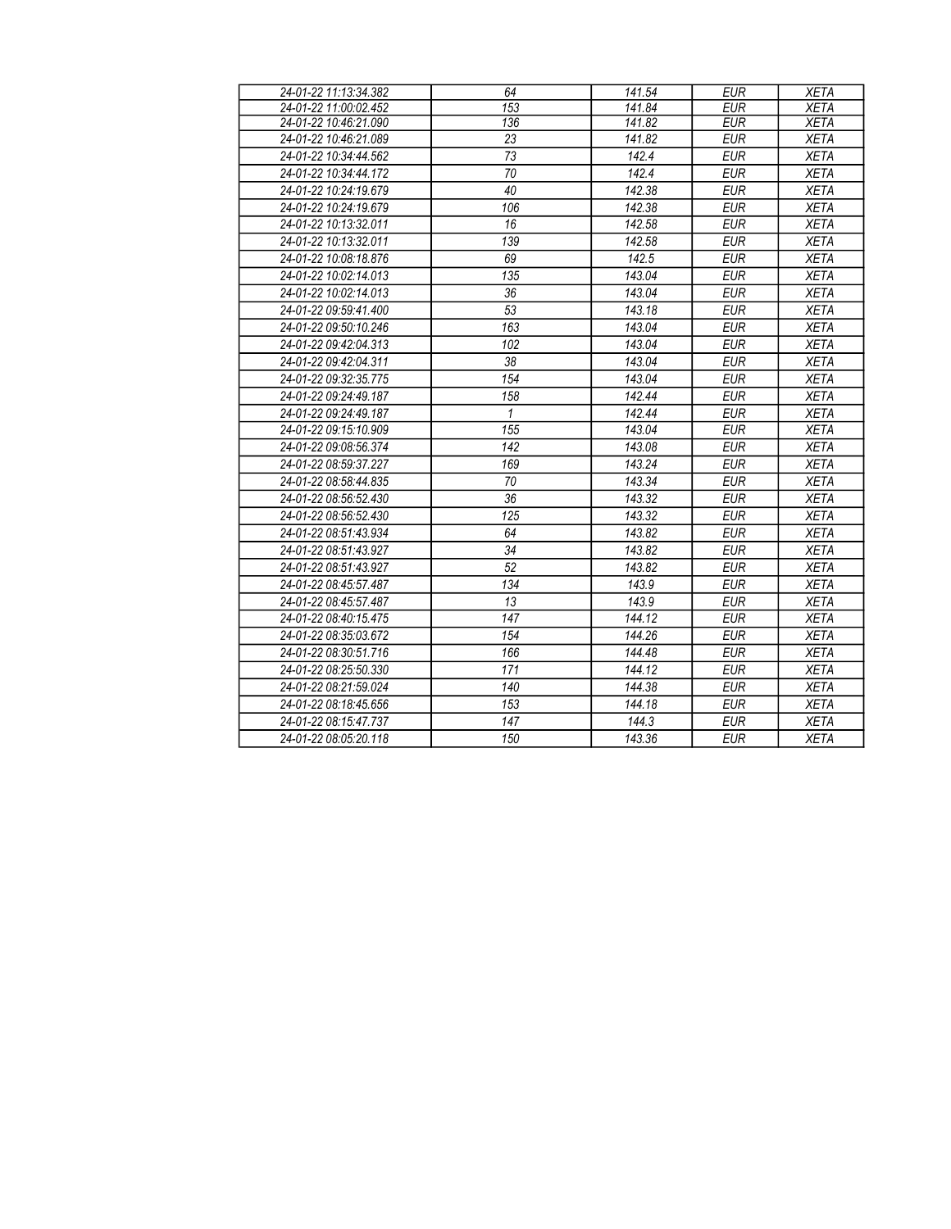| 24-01-22 11:13:34.382 | 64               | 141.54             | <b>EUR</b> | <b>XETA</b> |
|-----------------------|------------------|--------------------|------------|-------------|
| 24-01-22 11:00:02.452 | $\overline{153}$ | 141.84             | <b>EUR</b> | <b>XETA</b> |
| 24-01-22 10:46:21.090 | 136              | 141.82             | <b>EUR</b> | <b>XETA</b> |
| 24-01-22 10:46:21.089 | 23               | 141.82             | <b>EUR</b> | <b>XETA</b> |
| 24-01-22 10:34:44.562 | 73               | 142.4              | <b>EUR</b> | <b>XETA</b> |
| 24-01-22 10:34:44.172 | 70               | 142.4              | <b>EUR</b> | <b>XETA</b> |
| 24-01-22 10:24:19.679 | 40               | 142.38             | <b>EUR</b> | <b>XETA</b> |
| 24-01-22 10:24:19.679 | 106              | 142.38             | <b>EUR</b> | <b>XETA</b> |
| 24-01-22 10:13:32.011 | 16               | 142.58             | <b>EUR</b> | <b>XETA</b> |
| 24-01-22 10:13:32.011 | 139              | 142.58             | <b>EUR</b> | <b>XETA</b> |
| 24-01-22 10:08:18.876 | 69               | $\overline{142.5}$ | <b>EUR</b> | <b>XETA</b> |
| 24-01-22 10:02:14.013 | 135              | 143.04             | <b>EUR</b> | <b>XETA</b> |
| 24-01-22 10:02:14.013 | 36               | 143.04             | <b>EUR</b> | <b>XETA</b> |
| 24-01-22 09:59:41.400 | 53               | 143.18             | <b>EUR</b> | <b>XETA</b> |
| 24-01-22 09:50:10.246 | 163              | 143.04             | <b>EUR</b> | <b>XETA</b> |
| 24-01-22 09:42:04.313 | 102              | 143.04             | <b>EUR</b> | <b>XETA</b> |
| 24-01-22 09:42:04.311 | 38               | 143.04             | <b>EUR</b> | <b>XETA</b> |
| 24-01-22 09:32:35.775 | 154              | 143.04             | <b>EUR</b> | <b>XETA</b> |
| 24-01-22 09:24:49.187 | 158              | 142.44             | <b>EUR</b> | <b>XETA</b> |
| 24-01-22 09:24:49.187 | 1                | 142.44             | <b>EUR</b> | <b>XETA</b> |
| 24-01-22 09:15:10.909 | 155              | 143.04             | <b>EUR</b> | <b>XETA</b> |
| 24-01-22 09:08:56.374 | 142              | 143.08             | <b>EUR</b> | <b>XETA</b> |
| 24-01-22 08:59:37.227 | 169              | 143.24             | <b>EUR</b> | <b>XETA</b> |
| 24-01-22 08:58:44.835 | 70               | 143.34             | <b>EUR</b> | <b>XETA</b> |
| 24-01-22 08:56:52.430 | 36               | 143.32             | <b>EUR</b> | <b>XETA</b> |
| 24-01-22 08:56:52.430 | 125              | 143.32             | <b>EUR</b> | <b>XETA</b> |
| 24-01-22 08:51:43.934 | 64               | 143.82             | <b>EUR</b> | <b>XETA</b> |
| 24-01-22 08:51:43.927 | 34               | 143.82             | <b>EUR</b> | <b>XETA</b> |
| 24-01-22 08:51:43.927 | 52               | 143.82             | <b>EUR</b> | <b>XETA</b> |
| 24-01-22 08:45:57.487 | 134              | 143.9              | <b>EUR</b> | <b>XETA</b> |
| 24-01-22 08:45:57.487 | 13               | 143.9              | <b>EUR</b> | <b>XETA</b> |
| 24-01-22 08:40:15.475 | 147              | 144.12             | <b>EUR</b> | <b>XETA</b> |
| 24-01-22 08:35:03.672 | 154              | 144.26             | <b>EUR</b> | <b>XETA</b> |
| 24-01-22 08:30:51.716 | 166              | 144.48             | <b>EUR</b> | <b>XETA</b> |
| 24-01-22 08:25:50.330 | 171              | 144.12             | <b>EUR</b> | <b>XETA</b> |
| 24-01-22 08:21:59.024 | 140              | 144.38             | <b>EUR</b> | <b>XETA</b> |
| 24-01-22 08:18:45.656 | 153              | 144.18             | <b>EUR</b> | <b>XETA</b> |
| 24-01-22 08:15:47.737 | 147              | 144.3              | <b>EUR</b> | <b>XETA</b> |
| 24-01-22 08:05:20.118 | 150              | 143.36             | <b>EUR</b> | <b>XETA</b> |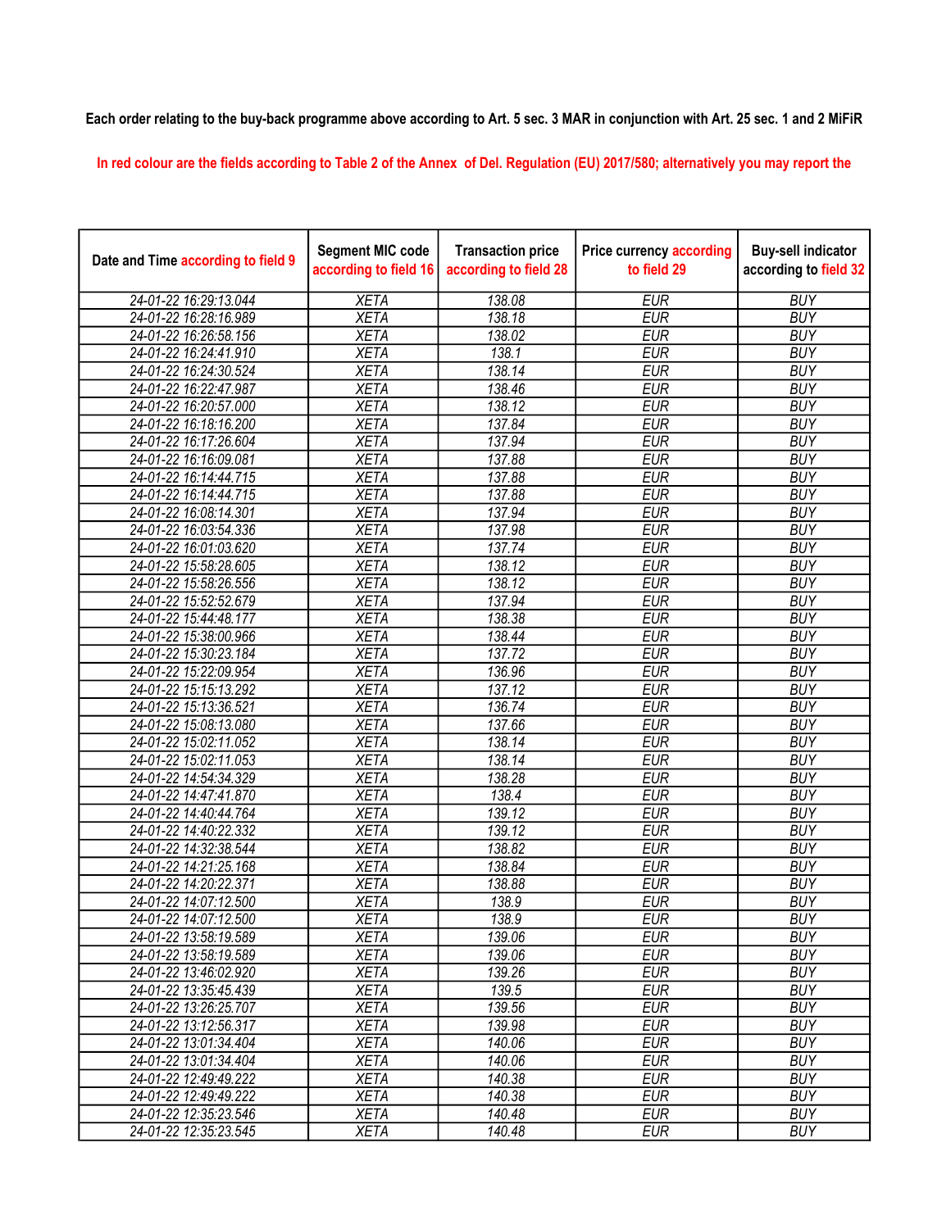## Each order relating to the buy-back programme above according to Art. 5 sec. 3 MAR in conjunction with Art. 25 sec. 1 and 2 MiFiR

In red colour are the fields according to Table 2 of the Annex of Del. Regulation (EU) 2017/580; alternatively you may report the

| Date and Time according to field 9 | <b>Segment MIC code</b><br>according to field 16 | <b>Transaction price</b><br>according to field 28 | <b>Price currency according</b><br>to field 29 | <b>Buy-sell indicator</b><br>according to field 32 |
|------------------------------------|--------------------------------------------------|---------------------------------------------------|------------------------------------------------|----------------------------------------------------|
| 24-01-22 16:29:13.044              | <b>XETA</b>                                      | 138.08                                            | <b>EUR</b>                                     | <b>BUY</b>                                         |
| 24-01-22 16:28:16.989              | <b>XETA</b>                                      | 138.18                                            | <b>EUR</b>                                     | <b>BUY</b>                                         |
| 24-01-22 16:26:58.156              | <b>XETA</b>                                      | 138.02                                            | <b>EUR</b>                                     | <b>BUY</b>                                         |
| 24-01-22 16:24:41.910              | <b>XETA</b>                                      | 138.1                                             | <b>EUR</b>                                     | <b>BUY</b>                                         |
| 24-01-22 16:24:30.524              | <b>XETA</b>                                      | 138.14                                            | <b>EUR</b>                                     | <b>BUY</b>                                         |
| 24-01-22 16:22:47.987              | <b>XETA</b>                                      | 138.46                                            | <b>EUR</b>                                     | <b>BUY</b>                                         |
| 24-01-22 16:20:57.000              | <b>XETA</b>                                      | 138.12                                            | <b>EUR</b>                                     | <b>BUY</b>                                         |
| 24-01-22 16:18:16.200              | <b>XETA</b>                                      | 137.84                                            | <b>EUR</b>                                     | <b>BUY</b>                                         |
| 24-01-22 16:17:26.604              | <b>XETA</b>                                      | 137.94                                            | <b>EUR</b>                                     | <b>BUY</b>                                         |
| 24-01-22 16:16:09.081              | <b>XETA</b>                                      | 137.88                                            | <b>EUR</b>                                     | <b>BUY</b>                                         |
| 24-01-22 16:14:44.715              | <b>XETA</b>                                      | 137.88                                            | <b>EUR</b>                                     | <b>BUY</b>                                         |
| 24-01-22 16:14:44.715              | <b>XETA</b>                                      | 137.88                                            | <b>EUR</b>                                     | <b>BUY</b>                                         |
| 24-01-22 16:08:14.301              | <b>XETA</b>                                      | 137.94                                            | <b>EUR</b>                                     | <b>BUY</b>                                         |
| 24-01-22 16:03:54.336              | <b>XETA</b>                                      | 137.98                                            | <b>EUR</b>                                     | <b>BUY</b>                                         |
| 24-01-22 16:01:03.620              | <b>XETA</b>                                      | 137.74                                            | <b>EUR</b>                                     | <b>BUY</b>                                         |
| 24-01-22 15:58:28.605              | <b>XETA</b>                                      | 138.12                                            | <b>EUR</b>                                     | <b>BUY</b>                                         |
| 24-01-22 15:58:26.556              | <b>XETA</b>                                      | 138.12                                            | <b>EUR</b>                                     | <b>BUY</b>                                         |
| 24-01-22 15:52:52.679              | <b>XETA</b>                                      | 137.94                                            | <b>EUR</b>                                     | <b>BUY</b>                                         |
| 24-01-22 15:44:48.177              | <b>XETA</b>                                      | 138.38                                            | <b>EUR</b>                                     | <b>BUY</b>                                         |
| 24-01-22 15:38:00.966              | <b>XETA</b>                                      | 138.44                                            | <b>EUR</b>                                     | <b>BUY</b>                                         |
| 24-01-22 15:30:23.184              | <b>XETA</b>                                      | 137.72                                            | <b>EUR</b>                                     | <b>BUY</b>                                         |
| 24-01-22 15:22:09.954              | <b>XETA</b>                                      | 136.96                                            | <b>EUR</b>                                     | <b>BUY</b>                                         |
| 24-01-22 15:15:13.292              | <b>XETA</b>                                      | 137.12                                            | <b>EUR</b>                                     | <b>BUY</b>                                         |
| 24-01-22 15:13:36.521              | <b>XETA</b>                                      | 136.74                                            | <b>EUR</b>                                     | <b>BUY</b>                                         |
| 24-01-22 15:08:13.080              | <b>XETA</b>                                      | 137.66                                            | <b>EUR</b>                                     | <b>BUY</b>                                         |
| 24-01-22 15:02:11.052              | <b>XETA</b>                                      | 138.14                                            | <b>EUR</b>                                     | <b>BUY</b>                                         |
| 24-01-22 15:02:11.053              | <b>XETA</b>                                      | 138.14                                            | <b>EUR</b>                                     | <b>BUY</b>                                         |
| 24-01-22 14:54:34.329              | <b>XETA</b>                                      | 138.28                                            | <b>EUR</b>                                     | <b>BUY</b>                                         |
| 24-01-22 14:47:41.870              | <b>XETA</b>                                      | 138.4                                             | <b>EUR</b>                                     | <b>BUY</b>                                         |
| 24-01-22 14:40:44.764              | <b>XETA</b>                                      | 139.12                                            | <b>EUR</b>                                     | <b>BUY</b>                                         |
| 24-01-22 14:40:22.332              | <b>XETA</b>                                      | 139.12                                            | <b>EUR</b>                                     | <b>BUY</b>                                         |
| 24-01-22 14:32:38.544              | <b>XETA</b>                                      | 138.82                                            | <b>EUR</b>                                     | <b>BUY</b>                                         |
| 24-01-22 14:21:25.168              | <b>XETA</b>                                      | 138.84                                            | <b>EUR</b>                                     | <b>BUY</b>                                         |
| 24-01-22 14:20:22.371              | <b>XETA</b>                                      | 138.88                                            | <b>EUR</b>                                     | <b>BUY</b>                                         |
| 24-01-22 14:07:12.500              | <b>XETA</b>                                      | 138.9                                             | <b>EUR</b>                                     | <b>BUY</b>                                         |
| 24-01-22 14:07:12.500              | <b>XETA</b>                                      | 138.9                                             | <b>EUR</b>                                     | <b>BUY</b>                                         |
| 24-01-22 13:58:19.589              | XETA                                             | 139.06                                            | EUR                                            | <b>BUY</b>                                         |
| 24-01-22 13:58:19.589              | <b>XETA</b>                                      | 139.06                                            | <b>EUR</b>                                     | <b>BUY</b>                                         |
| 24-01-22 13:46:02.920              | <b>XETA</b>                                      | 139.26                                            | <b>EUR</b>                                     | <b>BUY</b>                                         |
| 24-01-22 13:35:45.439              | <b>XETA</b>                                      | 139.5                                             | <b>EUR</b>                                     | <b>BUY</b>                                         |
| 24-01-22 13:26:25.707              | <b>XETA</b>                                      | 139.56                                            | <b>EUR</b>                                     | <b>BUY</b>                                         |
| 24-01-22 13:12:56.317              | <b>XETA</b>                                      | 139.98                                            | <b>EUR</b>                                     | <b>BUY</b>                                         |
| 24-01-22 13:01:34.404              | <b>XETA</b>                                      | 140.06                                            | <b>EUR</b>                                     | <b>BUY</b>                                         |
| 24-01-22 13:01:34.404              | <b>XETA</b>                                      | 140.06                                            | <b>EUR</b>                                     | <b>BUY</b>                                         |
| 24-01-22 12:49:49.222              | <b>XETA</b>                                      | 140.38                                            | <b>EUR</b>                                     | <b>BUY</b>                                         |
| 24-01-22 12:49:49.222              | <b>XETA</b>                                      | 140.38                                            | <b>EUR</b>                                     | <b>BUY</b>                                         |
| 24-01-22 12:35:23.546              | <b>XETA</b>                                      | 140.48                                            | EUR                                            | <b>BUY</b>                                         |
| 24-01-22 12:35:23.545              | <b>XETA</b>                                      | 140.48                                            | <b>EUR</b>                                     | <b>BUY</b>                                         |